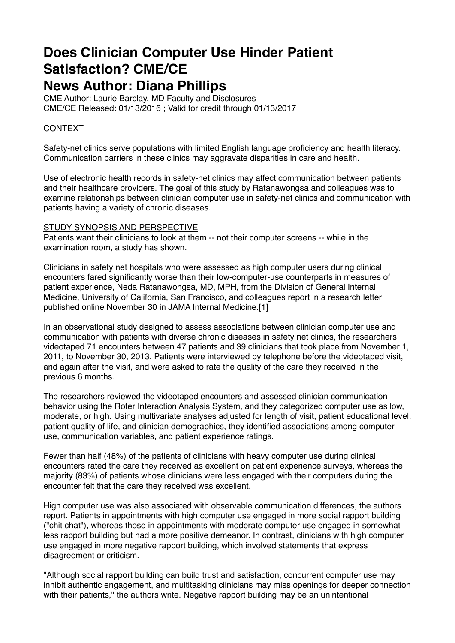# **Does Clinician Computer Use Hinder Patient Satisfaction? CME/CE**

## **News Author: Diana Phillips**

CME Author: Laurie Barclay, MD Faculty and Disclosures CME/CE Released: 01/13/2016 ; Valid for credit through 01/13/2017

### CONTEXT

Safety-net clinics serve populations with limited English language proficiency and health literacy. Communication barriers in these clinics may aggravate disparities in care and health.

Use of electronic health records in safety-net clinics may affect communication between patients and their healthcare providers. The goal of this study by Ratanawongsa and colleagues was to examine relationships between clinician computer use in safety-net clinics and communication with patients having a variety of chronic diseases.

#### STUDY SYNOPSIS AND PERSPECTIVE

Patients want their clinicians to look at them -- not their computer screens -- while in the examination room, a study has shown.

Clinicians in safety net hospitals who were assessed as high computer users during clinical encounters fared significantly worse than their low-computer-use counterparts in measures of patient experience, Neda Ratanawongsa, MD, MPH, from the Division of General Internal Medicine, University of California, San Francisco, and colleagues report in a research letter published online November 30 in JAMA Internal Medicine.[1]

In an observational study designed to assess associations between clinician computer use and communication with patients with diverse chronic diseases in safety net clinics, the researchers videotaped 71 encounters between 47 patients and 39 clinicians that took place from November 1, 2011, to November 30, 2013. Patients were interviewed by telephone before the videotaped visit, and again after the visit, and were asked to rate the quality of the care they received in the previous 6 months.

The researchers reviewed the videotaped encounters and assessed clinician communication behavior using the Roter Interaction Analysis System, and they categorized computer use as low, moderate, or high. Using multivariate analyses adjusted for length of visit, patient educational level, patient quality of life, and clinician demographics, they identified associations among computer use, communication variables, and patient experience ratings.

Fewer than half (48%) of the patients of clinicians with heavy computer use during clinical encounters rated the care they received as excellent on patient experience surveys, whereas the majority (83%) of patients whose clinicians were less engaged with their computers during the encounter felt that the care they received was excellent.

High computer use was also associated with observable communication differences, the authors report. Patients in appointments with high computer use engaged in more social rapport building ("chit chat"), whereas those in appointments with moderate computer use engaged in somewhat less rapport building but had a more positive demeanor. In contrast, clinicians with high computer use engaged in more negative rapport building, which involved statements that express disagreement or criticism.

"Although social rapport building can build trust and satisfaction, concurrent computer use may inhibit authentic engagement, and multitasking clinicians may miss openings for deeper connection with their patients," the authors write. Negative rapport building may be an unintentional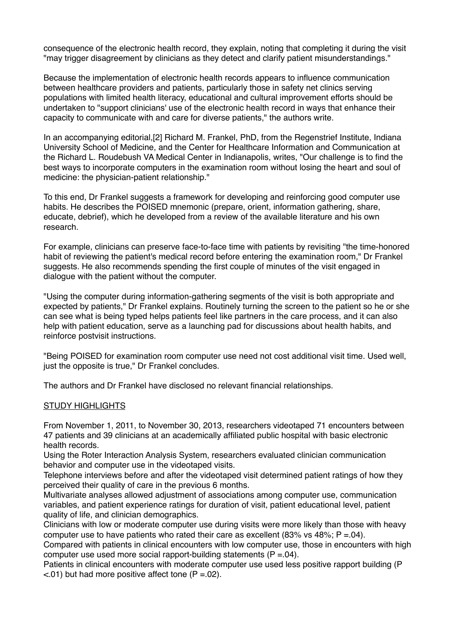consequence of the electronic health record, they explain, noting that completing it during the visit "may trigger disagreement by clinicians as they detect and clarify patient misunderstandings."

Because the implementation of electronic health records appears to influence communication between healthcare providers and patients, particularly those in safety net clinics serving populations with limited health literacy, educational and cultural improvement efforts should be undertaken to "support clinicians' use of the electronic health record in ways that enhance their capacity to communicate with and care for diverse patients," the authors write.

In an accompanying editorial,[2] Richard M. Frankel, PhD, from the Regenstrief Institute, Indiana University School of Medicine, and the Center for Healthcare Information and Communication at the Richard L. Roudebush VA Medical Center in Indianapolis, writes, "Our challenge is to find the best ways to incorporate computers in the examination room without losing the heart and soul of medicine: the physician-patient relationship."

To this end. Dr Frankel suggests a framework for developing and reinforcing good computer use habits. He describes the POISED mnemonic (prepare, orient, information gathering, share, educate, debrief), which he developed from a review of the available literature and his own research.

For example, clinicians can preserve face-to-face time with patients by revisiting "the time-honored habit of reviewing the patient's medical record before entering the examination room," Dr Frankel suggests. He also recommends spending the first couple of minutes of the visit engaged in dialogue with the patient without the computer.

"Using the computer during information-gathering segments of the visit is both appropriate and expected by patients," Dr Frankel explains. Routinely turning the screen to the patient so he or she can see what is being typed helps patients feel like partners in the care process, and it can also help with patient education, serve as a launching pad for discussions about health habits, and reinforce postvisit instructions.

"Being POISED for examination room computer use need not cost additional visit time. Used well, just the opposite is true," Dr Frankel concludes.

The authors and Dr Frankel have disclosed no relevant financial relationships.

#### STUDY HIGHLIGHTS

From November 1, 2011, to November 30, 2013, researchers videotaped 71 encounters between 47 patients and 39 clinicians at an academically affiliated public hospital with basic electronic health records.

Using the Roter Interaction Analysis System, researchers evaluated clinician communication behavior and computer use in the videotaped visits.

Telephone interviews before and after the videotaped visit determined patient ratings of how they perceived their quality of care in the previous 6 months.

Multivariate analyses allowed adjustment of associations among computer use, communication variables, and patient experience ratings for duration of visit, patient educational level, patient quality of life, and clinician demographics.

Clinicians with low or moderate computer use during visits were more likely than those with heavy computer use to have patients who rated their care as excellent  $(83\% \text{ vs } 48\%; P = 04)$ .

Compared with patients in clinical encounters with low computer use, those in encounters with high computer use used more social rapport-building statements  $(P = .04)$ .

Patients in clinical encounters with moderate computer use used less positive rapport building (P  $\leq$ .01) but had more positive affect tone (P =.02).